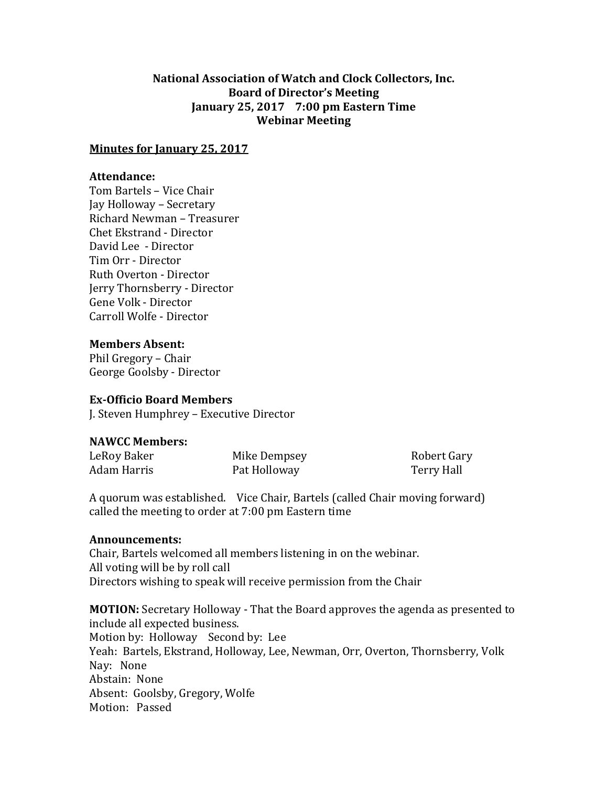# **National Association of Watch and Clock Collectors, Inc. Board of Director's Meeting January 25, 2017 7:00 pm Eastern Time Webinar Meeting**

### **Minutes for January 25, 2017**

## **Attendance:**

Tom Bartels – Vice Chair Jay Holloway – Secretary Richard Newman – Treasurer Chet Ekstrand - Director David Lee - Director Tim Orr - Director Ruth Overton - Director Jerry Thornsberry - Director Gene Volk - Director Carroll Wolfe - Director

**Members Absent:**

Phil Gregory – Chair George Goolsby - Director

### **Ex-Officio Board Members**

J. Steven Humphrey – Executive Director

### **NAWCC Members:**

| LeRoy Baker | Mike Dempsey | Robert Gary |
|-------------|--------------|-------------|
| Adam Harris | Pat Holloway | Terry Hall  |

A quorum was established. Vice Chair, Bartels (called Chair moving forward) called the meeting to order at 7:00 pm Eastern time

#### **Announcements:**

Chair, Bartels welcomed all members listening in on the webinar. All voting will be by roll call Directors wishing to speak will receive permission from the Chair

**MOTION:** Secretary Holloway - That the Board approves the agenda as presented to include all expected business. Motion by: Holloway Second by: Lee Yeah: Bartels, Ekstrand, Holloway, Lee, Newman, Orr, Overton, Thornsberry, Volk Nay: None Abstain: None Absent: Goolsby, Gregory, Wolfe Motion: Passed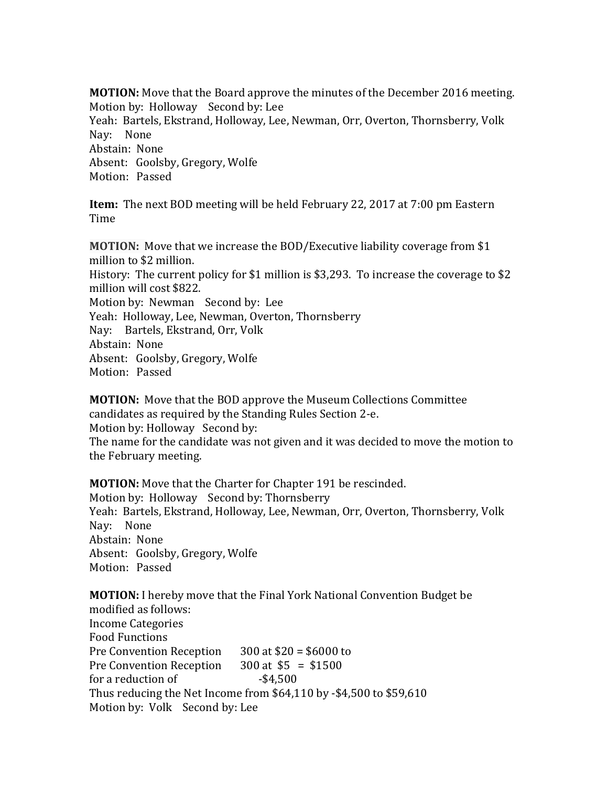**MOTION:** Move that the Board approve the minutes of the December 2016 meeting. Motion by: Holloway Second by: Lee Yeah: Bartels, Ekstrand, Holloway, Lee, Newman, Orr, Overton, Thornsberry, Volk Nay: None Abstain: None Absent: Goolsby, Gregory, Wolfe Motion: Passed

**Item:** The next BOD meeting will be held February 22, 2017 at 7:00 pm Eastern Time

**MOTION:** Move that we increase the BOD/Executive liability coverage from \$1 million to \$2 million. History: The current policy for \$1 million is \$3,293. To increase the coverage to \$2 million will cost \$822. Motion by: Newman Second by: Lee Yeah: Holloway, Lee, Newman, Overton, Thornsberry Nay: Bartels, Ekstrand, Orr, Volk Abstain: None Absent: Goolsby, Gregory, Wolfe Motion: Passed

**MOTION:** Move that the BOD approve the Museum Collections Committee candidates as required by the Standing Rules Section 2-e. Motion by: Holloway Second by: The name for the candidate was not given and it was decided to move the motion to the February meeting.

**MOTION:** Move that the Charter for Chapter 191 be rescinded. Motion by: Holloway Second by: Thornsberry Yeah: Bartels, Ekstrand, Holloway, Lee, Newman, Orr, Overton, Thornsberry, Volk Nay: None Abstain: None Absent: Goolsby, Gregory, Wolfe Motion: Passed

**MOTION:** I hereby move that the Final York National Convention Budget be modified as follows: Income Categories Food Functions Pre Convention Reception 300 at \$20 = \$6000 to Pre Convention Reception 300 at \$5 = \$1500 for a reduction of  $-$ \$4,500 Thus reducing the Net Income from \$64,110 by -\$4,500 to \$59,610 Motion by: Volk Second by: Lee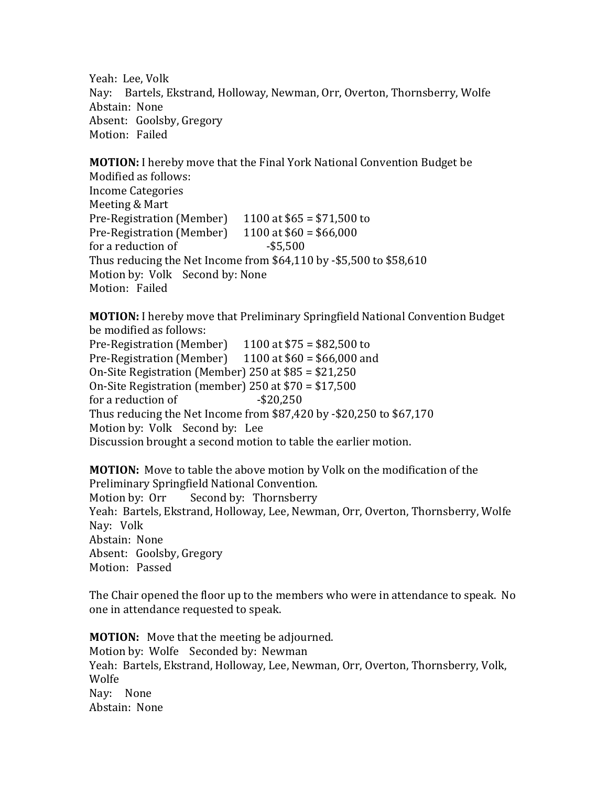Yeah: Lee, Volk Nay: Bartels, Ekstrand, Holloway, Newman, Orr, Overton, Thornsberry, Wolfe Abstain: None Absent: Goolsby, Gregory Motion: Failed

**MOTION:** I hereby move that the Final York National Convention Budget be Modified as follows: Income Categories Meeting & Mart Pre-Registration (Member)  $1100$  at \$65 = \$71,500 to Pre-Registration (Member)  $1100$  at  $$60 = $66,000$ for a reduction of  $-$ \$5,500 Thus reducing the Net Income from \$64,110 by -\$5,500 to \$58,610 Motion by: Volk Second by: None Motion: Failed

**MOTION:** I hereby move that Preliminary Springfield National Convention Budget be modified as follows:

Pre-Registration (Member)  $1100$  at \$75 = \$82,500 to Pre-Registration (Member)  $1100$  at \$60 = \$66,000 and On-Site Registration (Member) 250 at \$85 = \$21,250 On-Site Registration (member) 250 at \$70 = \$17,500 for a reduction of  $-$ \$20,250 Thus reducing the Net Income from \$87,420 by -\$20,250 to \$67,170 Motion by: Volk Second by: Lee Discussion brought a second motion to table the earlier motion.

**MOTION:** Move to table the above motion by Volk on the modification of the Preliminary Springfield National Convention. Motion by: Orr Second by: Thornsberry Yeah: Bartels, Ekstrand, Holloway, Lee, Newman, Orr, Overton, Thornsberry, Wolfe Nay: Volk Abstain: None Absent: Goolsby, Gregory Motion: Passed

The Chair opened the floor up to the members who were in attendance to speak. No one in attendance requested to speak.

**MOTION:** Move that the meeting be adjourned. Motion by: Wolfe Seconded by: Newman Yeah: Bartels, Ekstrand, Holloway, Lee, Newman, Orr, Overton, Thornsberry, Volk, Wolfe Nay: None Abstain: None